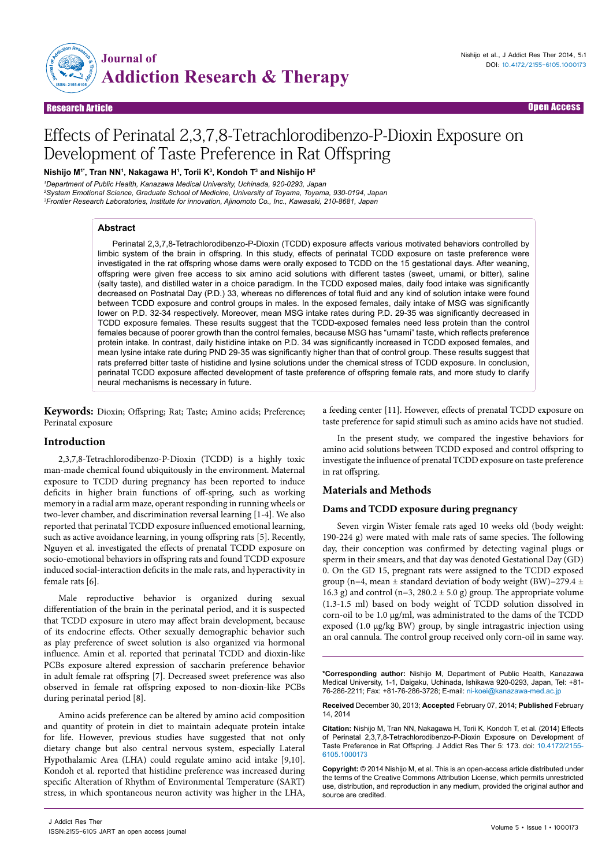

# Effects of Perinatal 2,3,7,8-Tetrachlorodibenzo-P-Dioxin Exposure on Development of Taste Preference in Rat Offspring

**Nishijo M1\*, Tran NN1 , Nakagawa H1 , Torii K3 , Kondoh T3 and Nishijo H2**

*1 Department of Public Health, Kanazawa Medical University, Uchinada, 920-0293, Japan 2 System Emotional Science, Graduate School of Medicine, University of Toyama, Toyama, 930-0194, Japan 3 Frontier Research Laboratories, Institute for innovation, Ajinomoto Co., Inc., Kawasaki, 210-8681, Japan*

# **Abstract**

Perinatal 2,3,7,8-Tetrachlorodibenzo-P-Dioxin (TCDD) exposure affects various motivated behaviors controlled by limbic system of the brain in offspring. In this study, effects of perinatal TCDD exposure on taste preference were investigated in the rat offspring whose dams were orally exposed to TCDD on the 15 gestational days. After weaning, offspring were given free access to six amino acid solutions with different tastes (sweet, umami, or bitter), saline (salty taste), and distilled water in a choice paradigm. In the TCDD exposed males, daily food intake was significantly decreased on Postnatal Day (P.D.) 33, whereas no differences of total fluid and any kind of solution intake were found between TCDD exposure and control groups in males. In the exposed females, daily intake of MSG was significantly lower on P.D. 32-34 respectively. Moreover, mean MSG intake rates during P.D. 29-35 was significantly decreased in TCDD exposure females. These results suggest that the TCDD-exposed females need less protein than the control females because of poorer growth than the control females, because MSG has "umami" taste, which reflects preference protein intake. In contrast, daily histidine intake on P.D. 34 was significantly increased in TCDD exposed females, and mean lysine intake rate during PND 29-35 was significantly higher than that of control group. These results suggest that rats preferred bitter taste of histidine and lysine solutions under the chemical stress of TCDD exposure. In conclusion, perinatal TCDD exposure affected development of taste preference of offspring female rats, and more study to clarify neural mechanisms is necessary in future.

**Keywords:** Dioxin; Offspring; Rat; Taste; Amino acids; Preference; Perinatal exposure

# **Introduction**

2,3,7,8-Tetrachlorodibenzo-P-Dioxin (TCDD) is a highly toxic man-made chemical found ubiquitously in the environment. Maternal exposure to TCDD during pregnancy has been reported to induce deficits in higher brain functions of off-spring, such as working memory in a radial arm maze, operant responding in running wheels or two-lever chamber, and discrimination reversal learning [1-4]. We also reported that perinatal TCDD exposure influenced emotional learning, such as active avoidance learning, in young offspring rats [5]. Recently, Nguyen et al. investigated the effects of prenatal TCDD exposure on socio-emotional behaviors in offspring rats and found TCDD exposure induced social-interaction deficits in the male rats, and hyperactivity in female rats [6].

Male reproductive behavior is organized during sexual differentiation of the brain in the perinatal period, and it is suspected that TCDD exposure in utero may affect brain development, because of its endocrine effects. Other sexually demographic behavior such as play preference of sweet solution is also organized via hormonal influence. Amin et al. reported that perinatal TCDD and dioxin-like PCBs exposure altered expression of saccharin preference behavior in adult female rat offspring [7]. Decreased sweet preference was also observed in female rat offspring exposed to non-dioxin-like PCBs during perinatal period [8].

Amino acids preference can be altered by amino acid composition and quantity of protein in diet to maintain adequate protein intake for life. However, previous studies have suggested that not only dietary change but also central nervous system, especially Lateral Hypothalamic Area (LHA) could regulate amino acid intake [9,10]. Kondoh et al. reported that histidine preference was increased during specific Alteration of Rhythm of Environmental Temperature (SART) stress, in which spontaneous neuron activity was higher in the LHA, a feeding center [11]. However, effects of prenatal TCDD exposure on taste preference for sapid stimuli such as amino acids have not studied.

In the present study, we compared the ingestive behaviors for amino acid solutions between TCDD exposed and control offspring to investigate the influence of prenatal TCDD exposure on taste preference in rat offspring.

# **Materials and Methods**

# **Dams and TCDD exposure during pregnancy**

Seven virgin Wister female rats aged 10 weeks old (body weight: 190-224 g) were mated with male rats of same species. The following day, their conception was confirmed by detecting vaginal plugs or sperm in their smears, and that day was denoted Gestational Day (GD) 0. On the GD 15, pregnant rats were assigned to the TCDD exposed group (n=4, mean  $\pm$  standard deviation of body weight (BW)=279.4  $\pm$ 16.3 g) and control (n=3, 280.2  $\pm$  5.0 g) group. The appropriate volume (1.3-1.5 ml) based on body weight of TCDD solution dissolved in corn-oil to be 1.0 μg/ml, was administrated to the dams of the TCDD exposed (1.0 μg/kg BW) group, by single intragastric injection using an oral cannula. The control group received only corn-oil in same way.

**\*Corresponding author:** Nishijo M, Department of Public Health, Kanazawa Medical University, 1-1, Daigaku, Uchinada, Ishikawa 920-0293, Japan, Tel: +81- 76-286-2211; Fax: +81-76-286-3728; E-mail: ni-koei@kanazawa-med.ac.jp

**Received** December 30, 2013; **Accepted** February 07, 2014; **Published** February 14, 2014

**Citation:** Nishijo M, Tran NN, Nakagawa H, Torii K, Kondoh T, et al. (2014) Effects of Perinatal 2,3,7,8-Tetrachlorodibenzo-P-Dioxin Exposure on Development of Taste Preference in Rat Offspring. J Addict Res Ther 5: 173. doi: 10.4172/2155- 6105.1000173

**Copyright:** © 2014 Nishijo M, et al. This is an open-access article distributed under the terms of the Creative Commons Attribution License, which permits unrestricted use, distribution, and reproduction in any medium, provided the original author and source are credited.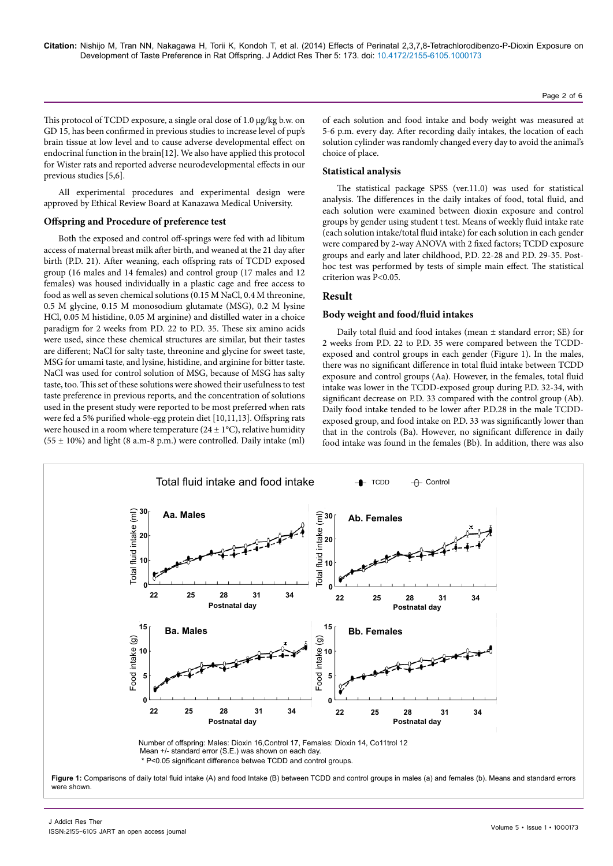This protocol of TCDD exposure, a single oral dose of 1.0 μg/kg b.w. on GD 15, has been confirmed in previous studies to increase level of pup's brain tissue at low level and to cause adverse developmental effect on endocrinal function in the brain[12]. We also have applied this protocol for Wister rats and reported adverse neurodevelopmental effects in our previous studies [5,6].

All experimental procedures and experimental design were approved by Ethical Review Board at Kanazawa Medical University.

# **Offspring and Procedure of preference test**

Both the exposed and control off-springs were fed with ad libitum access of maternal breast milk after birth, and weaned at the 21 day after birth (P.D. 21). After weaning, each offspring rats of TCDD exposed group (16 males and 14 females) and control group (17 males and 12 females) was housed individually in a plastic cage and free access to food as well as seven chemical solutions (0.15 M NaCl, 0.4 M threonine, 0.5 M glycine, 0.15 M monosodium glutamate (MSG), 0.2 M lysine HCl, 0.05 M histidine, 0.05 M arginine) and distilled water in a choice paradigm for 2 weeks from P.D. 22 to P.D. 35. These six amino acids were used, since these chemical structures are similar, but their tastes are different; NaCl for salty taste, threonine and glycine for sweet taste, MSG for umami taste, and lysine, histidine, and arginine for bitter taste. NaCl was used for control solution of MSG, because of MSG has salty taste, too. This set of these solutions were showed their usefulness to test taste preference in previous reports, and the concentration of solutions used in the present study were reported to be most preferred when rats were fed a 5% purified whole-egg protein diet [10,11,13]. Offspring rats were housed in a room where temperature ( $24 \pm 1$ °C), relative humidity  $(55 \pm 10\%)$  and light (8 a.m-8 p.m.) were controlled. Daily intake (ml)

of each solution and food intake and body weight was measured at 5-6 p.m. every day. After recording daily intakes, the location of each solution cylinder was randomly changed every day to avoid the animal's choice of place.

# **Statistical analysis**

The statistical package SPSS (ver.11.0) was used for statistical analysis. The differences in the daily intakes of food, total fluid, and each solution were examined between dioxin exposure and control groups by gender using student t test. Means of weekly fluid intake rate (each solution intake/total fluid intake) for each solution in each gender were compared by 2-way ANOVA with 2 fixed factors; TCDD exposure groups and early and later childhood, P.D. 22-28 and P.D. 29-35. Posthoc test was performed by tests of simple main effect. The statistical criterion was P<0.05.

# **Result**

# **Body weight and food/fluid intakes**

Daily total fluid and food intakes (mean ± standard error; SE) for 2 weeks from P.D. 22 to P.D. 35 were compared between the TCDDexposed and control groups in each gender (Figure 1). In the males, there was no significant difference in total fluid intake between TCDD exposure and control groups (Aa). However, in the females, total fluid intake was lower in the TCDD-exposed group during P.D. 32-34, with significant decrease on P.D. 33 compared with the control group (Ab). Daily food intake tended to be lower after P.D.28 in the male TCDDexposed group, and food intake on P.D. 33 was significantly lower than that in the controls (Ba). However, no significant difference in daily food intake was found in the females (Bb). In addition, there was also

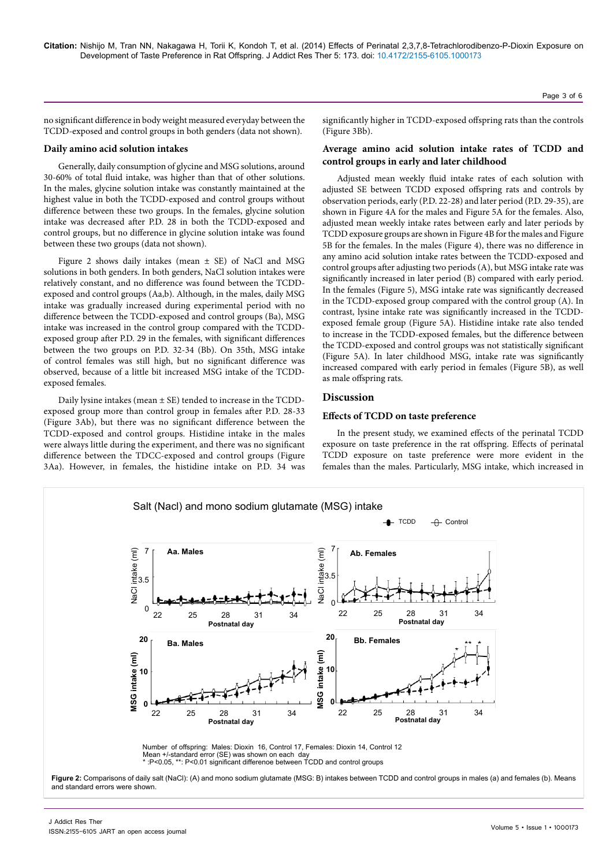no significant difference in body weight measured everyday between the TCDD-exposed and control groups in both genders (data not shown).

# **Daily amino acid solution intakes**

Generally, daily consumption of glycine and MSG solutions, around 30-60% of total fluid intake, was higher than that of other solutions. In the males, glycine solution intake was constantly maintained at the highest value in both the TCDD-exposed and control groups without difference between these two groups. In the females, glycine solution intake was decreased after P.D. 28 in both the TCDD-exposed and control groups, but no difference in glycine solution intake was found between these two groups (data not shown).

Figure 2 shows daily intakes (mean ± SE) of NaCl and MSG solutions in both genders. In both genders, NaCl solution intakes were relatively constant, and no difference was found between the TCDDexposed and control groups (Aa,b). Although, in the males, daily MSG intake was gradually increased during experimental period with no difference between the TCDD-exposed and control groups (Ba), MSG intake was increased in the control group compared with the TCDDexposed group after P.D. 29 in the females, with significant differences between the two groups on P.D. 32-34 (Bb). On 35th, MSG intake of control females was still high, but no significant difference was observed, because of a little bit increased MSG intake of the TCDDexposed females.

Daily lysine intakes (mean ± SE) tended to increase in the TCDDexposed group more than control group in females after P.D. 28-33 (Figure 3Ab), but there was no significant difference between the TCDD-exposed and control groups. Histidine intake in the males were always little during the experiment, and there was no significant difference between the TDCC-exposed and control groups (Figure 3Aa). However, in females, the histidine intake on P.D. 34 was

significantly higher in TCDD-exposed offspring rats than the controls (Figure 3Bb).

# **Average amino acid solution intake rates of TCDD and control groups in early and later childhood**

Adjusted mean weekly fluid intake rates of each solution with adjusted SE between TCDD exposed offspring rats and controls by observation periods, early (P.D. 22-28) and later period (P.D. 29-35), are shown in Figure 4A for the males and Figure 5A for the females. Also, adjusted mean weekly intake rates between early and later periods by TCDD exposure groups are shown in Figure 4B for the males and Figure 5B for the females. In the males (Figure 4), there was no difference in any amino acid solution intake rates between the TCDD-exposed and control groups after adjusting two periods (A), but MSG intake rate was significantly increased in later period (B) compared with early period. In the females (Figure 5), MSG intake rate was significantly decreased in the TCDD-exposed group compared with the control group (A). In contrast, lysine intake rate was significantly increased in the TCDDexposed female group (Figure 5A). Histidine intake rate also tended to increase in the TCDD-exposed females, but the difference between the TCDD-exposed and control groups was not statistically significant (Figure 5A). In later childhood MSG, intake rate was significantly increased compared with early period in females (Figure 5B), as well as male offspring rats.

# **Discussion**

# **Effects of TCDD on taste preference**

In the present study, we examined effects of the perinatal TCDD exposure on taste preference in the rat offspring. Effects of perinatal TCDD exposure on taste preference were more evident in the females than the males. Particularly, MSG intake, which increased in



Page 3 of 6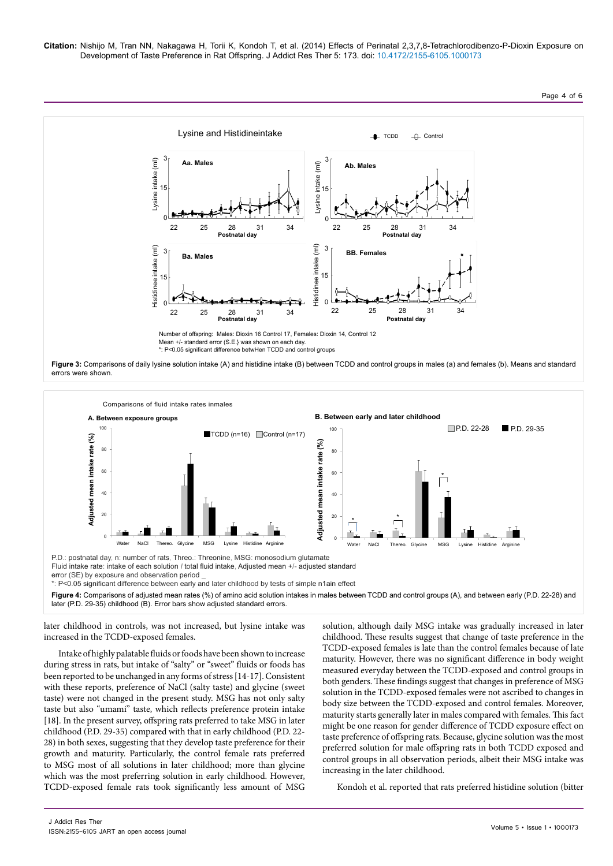**Citation:** Nishijo M, Tran NN, Nakagawa H, Torii K, Kondoh T, et al. (2014) Effects of Perinatal 2,3,7,8-Tetrachlorodibenzo-P-Dioxin Exposure on Development of Taste Preference in Rat Offspring. J Addict Res Ther 5: 173. doi: 10.4172/2155-6105.1000173





later childhood in controls, was not increased, but lysine intake was increased in the TCDD-exposed females.

Intake of highly palatable fluids or foods have been shown to increase during stress in rats, but intake of "salty" or "sweet" fluids or foods has been reported to be unchanged in any forms of stress [14-17]. Consistent with these reports, preference of NaCl (salty taste) and glycine (sweet taste) were not changed in the present study. MSG has not only salty taste but also "umami" taste, which reflects preference protein intake [18]. In the present survey, offspring rats preferred to take MSG in later childhood (P.D. 29-35) compared with that in early childhood (P.D. 22- 28) in both sexes, suggesting that they develop taste preference for their growth and maturity. Particularly, the control female rats preferred to MSG most of all solutions in later childhood; more than glycine which was the most preferring solution in early childhood. However, TCDD-exposed female rats took significantly less amount of MSG

solution, although daily MSG intake was gradually increased in later childhood. These results suggest that change of taste preference in the TCDD-exposed females is late than the control females because of late maturity. However, there was no significant difference in body weight measured everyday between the TCDD-exposed and control groups in both genders. These findings suggest that changes in preference of MSG solution in the TCDD-exposed females were not ascribed to changes in body size between the TCDD-exposed and control females. Moreover, maturity starts generally later in males compared with females. This fact might be one reason for gender difference of TCDD exposure effect on taste preference of offspring rats. Because, glycine solution was the most preferred solution for male offspring rats in both TCDD exposed and control groups in all observation periods, albeit their MSG intake was increasing in the later childhood.

Kondoh et al. reported that rats preferred histidine solution (bitter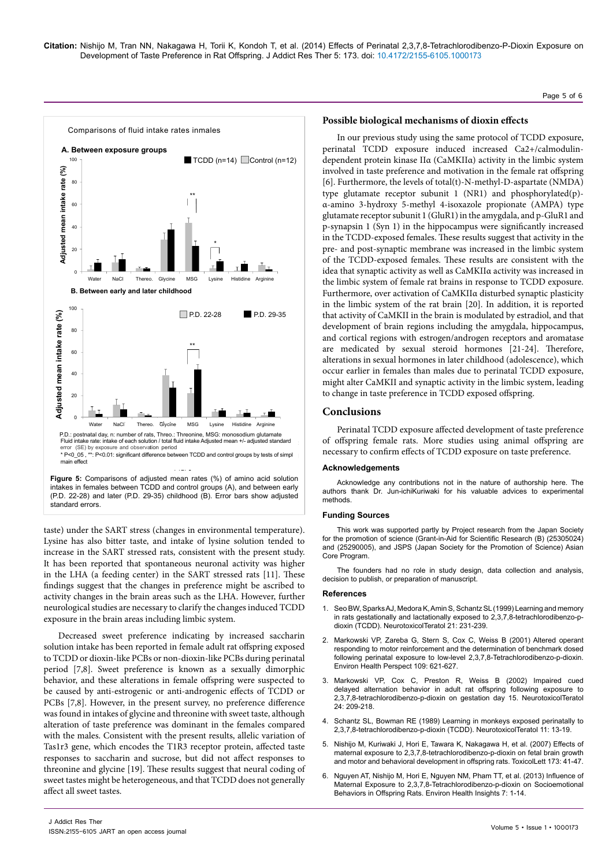# Page 5 of 6



taste) under the SART stress (changes in environmental temperature). Lysine has also bitter taste, and intake of lysine solution tended to increase in the SART stressed rats, consistent with the present study. It has been reported that spontaneous neuronal activity was higher in the LHA (a feeding center) in the SART stressed rats [11]. These findings suggest that the changes in preference might be ascribed to activity changes in the brain areas such as the LHA. However, further neurological studies are necessary to clarify the changes induced TCDD exposure in the brain areas including limbic system.

Decreased sweet preference indicating by increased saccharin solution intake has been reported in female adult rat offspring exposed to TCDD or dioxin-like PCBs or non-dioxin-like PCBs during perinatal period [7,8]. Sweet preference is known as a sexually dimorphic behavior, and these alterations in female offspring were suspected to be caused by anti-estrogenic or anti-androgenic effects of TCDD or PCBs [7,8]. However, in the present survey, no preference difference was found in intakes of glycine and threonine with sweet taste, although alteration of taste preference was dominant in the females compared with the males. Consistent with the present results, allelic variation of Tas1r3 gene, which encodes the T1R3 receptor protein, affected taste responses to saccharin and sucrose, but did not affect responses to threonine and glycine [19]. These results suggest that neural coding of sweet tastes might be heterogeneous, and that TCDD does not generally affect all sweet tastes.

#### **Possible biological mechanisms of dioxin effects**

In our previous study using the same protocol of TCDD exposure, perinatal TCDD exposure induced increased Ca2+/calmodulindependent protein kinase IIα (CaMKIIα) activity in the limbic system involved in taste preference and motivation in the female rat offspring [6]. Furthermore, the levels of total(t)-N-methyl-D-aspartate (NMDA) type glutamate receptor subunit 1 (NR1) and phosphorylated(p) α-amino 3-hydroxy 5-methyl 4-isoxazole propionate (AMPA) type glutamate receptor subunit 1 (GluR1) in the amygdala, and p-GluR1 and p-synapsin 1 (Syn 1) in the hippocampus were significantly increased in the TCDD-exposed females. These results suggest that activity in the pre- and post-synaptic membrane was increased in the limbic system of the TCDD-exposed females. These results are consistent with the idea that synaptic activity as well as CaMKIIα activity was increased in the limbic system of female rat brains in response to TCDD exposure. Furthermore, over activation of CaMKIIα disturbed synaptic plasticity in the limbic system of the rat brain [20]. In addition, it is reported that activity of CaMKII in the brain is modulated by estradiol, and that development of brain regions including the amygdala, hippocampus, and cortical regions with estrogen/androgen receptors and aromatase are medicated by sexual steroid hormones [21-24]. Therefore, alterations in sexual hormones in later childhood (adolescence), which occur earlier in females than males due to perinatal TCDD exposure, might alter CaMKII and synaptic activity in the limbic system, leading to change in taste preference in TCDD exposed offspring.

# **Conclusions**

Perinatal TCDD exposure affected development of taste preference of offspring female rats. More studies using animal offspring are necessary to confirm effects of TCDD exposure on taste preference.

#### **Acknowledgements**

Acknowledge any contributions not in the nature of authorship here. The authors thank Dr. Jun-ichiKuriwaki for his valuable advices to experimental methods.

#### **Funding Sources**

This work was supported partly by Project research from the Japan Society for the promotion of science (Grant-in-Aid for Scientific Research (B) (25305024) and (25290005), and JSPS (Japan Society for the Promotion of Science) Asian Core Program.

The founders had no role in study design, data collection and analysis, decision to publish, or preparation of manuscript.

#### **References**

- 1. [Seo BW, Sparks AJ, Medora K, Amin S, Schantz SL \(1999\) Learning and memory](http://www.ncbi.nlm.nih.gov/pubmed/10386826)  [in rats gestationally and lactationally exposed to 2,3,7,8-tetrachlorodibenzo-p](http://www.ncbi.nlm.nih.gov/pubmed/10386826)[dioxin \(TCDD\). NeurotoxicolTeratol 21: 231-239.](http://www.ncbi.nlm.nih.gov/pubmed/10386826)
- 2. [Markowski VP, Zareba G, Stern S, Cox C, Weiss B \(2001\) Altered operant](http://www.ncbi.nlm.nih.gov/pubmed/11445517)  [responding to motor reinforcement and the determination of benchmark dosed](http://www.ncbi.nlm.nih.gov/pubmed/11445517)  [following perinatal exposure to low-level 2,3,7,8-Tetrachlorodibenzo-p-dioxin.](http://www.ncbi.nlm.nih.gov/pubmed/11445517)  [Environ Health Perspect 109: 621-627.](http://www.ncbi.nlm.nih.gov/pubmed/11445517)
- Markowski VP, Cox C, Preston R, Weiss B (2002) Impaired cued [delayed alternation behavior in adult rat offspring following exposure to](http://www.ncbi.nlm.nih.gov/pubmed/11943508)  [2,3,7,8-tetrachlorodibenzo-p-dioxin on gestation day 15. NeurotoxicolTeratol](http://www.ncbi.nlm.nih.gov/pubmed/11943508)  [24: 209-218.](http://www.ncbi.nlm.nih.gov/pubmed/11943508)
- 4. [Schantz SL, Bowman RE \(1989\) Learning in monkeys exposed perinatally to](http://www.ncbi.nlm.nih.gov/pubmed/2725437)  [2,3,7,8-tetrachlorodibenzo-p-dioxin \(TCDD\). NeurotoxicolTeratol 11: 13-19.](http://www.ncbi.nlm.nih.gov/pubmed/2725437)
- Nishijo M, Kuriwaki J, Hori E, Tawara K, Nakagawa H, et al. (2007) Effects of [maternal exposure to 2,3,7,8-tetrachlorodibenzo-p-dioxin on fetal brain growth](http://www.ncbi.nlm.nih.gov/pubmed/17669605)  [and motor and behavioral development in offspring rats. ToxicolLett 173: 41-47.](http://www.ncbi.nlm.nih.gov/pubmed/17669605)
- 6. [Nguyen AT, Nishijo M, Hori E, Nguyen NM, Pham TT, et al. \(2013\) Influence of](http://www.ncbi.nlm.nih.gov/pubmed/23493046)  [Maternal Exposure to 2,3,7,8-Tetrachlorodibenzo-p-dioxin on Socioemotional](http://www.ncbi.nlm.nih.gov/pubmed/23493046)  [Behaviors in Offspring Rats. Environ Health Insights 7: 1-14.](http://www.ncbi.nlm.nih.gov/pubmed/23493046)